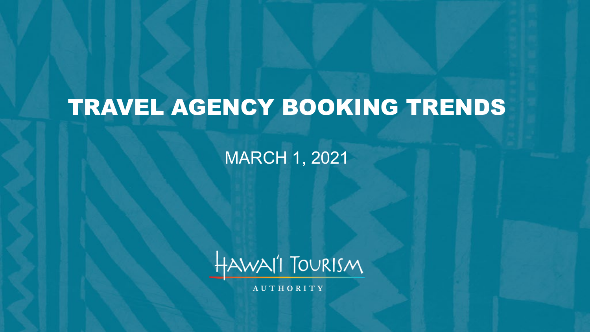# TRAVEL AGENCY BOOKING TRENDS

MARCH 1, 2021



**AUTHORITY**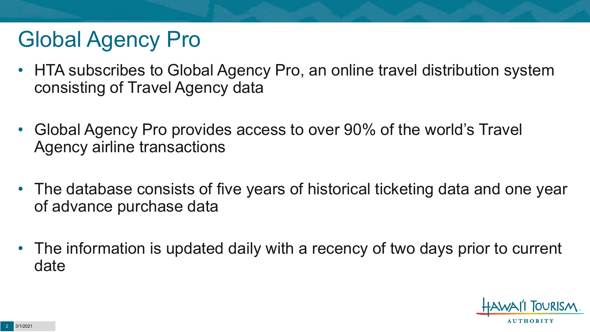# Global Agency Pro

- HTA subscribes to Global Agency Pro, an online travel distribution system consisting of Travel Agency data
- Global Agency Pro provides access to over 90% of the world's Travel Agency airline transactions
- The database consists of five years of historical ticketing data and one year of advance purchase data
- The information is updated daily with a recency of two days prior to current date

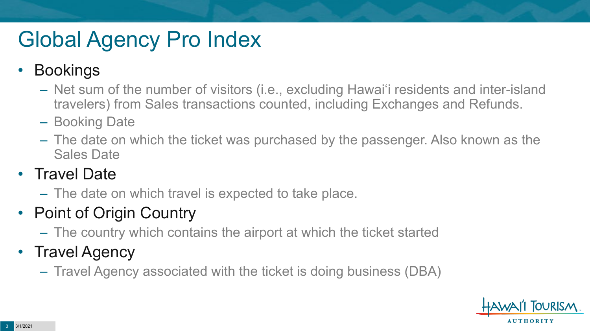# Global Agency Pro Index

### • Bookings

- Net sum of the number of visitors (i.e., excluding Hawai'i residents and inter-island travelers) from Sales transactions counted, including Exchanges and Refunds.
- Booking Date
- The date on which the ticket was purchased by the passenger. Also known as the Sales Date

### • Travel Date

– The date on which travel is expected to take place.

### • Point of Origin Country

– The country which contains the airport at which the ticket started

### • Travel Agency

– Travel Agency associated with the ticket is doing business (DBA)

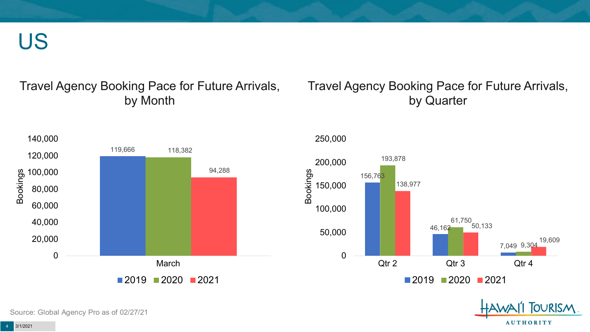US

#### Travel Agency Booking Pace for Future Arrivals, by Month

#### Travel Agency Booking Pace for Future Arrivals, by Quarter

OURISM.

**AUTHORITY** 



Source: Global Agency Pro as of 02/27/21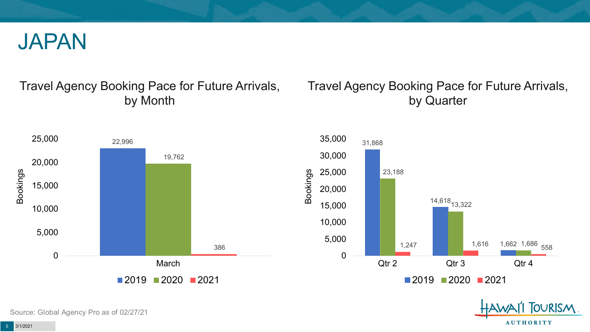

#### Travel Agency Booking Pace for Future Arrivals, by Month

#### Travel Agency Booking Pace for Future Arrivals, by Quarter

OURISM.

**AUTHORITY** 



Source: Global Agency Pro as of 02/27/21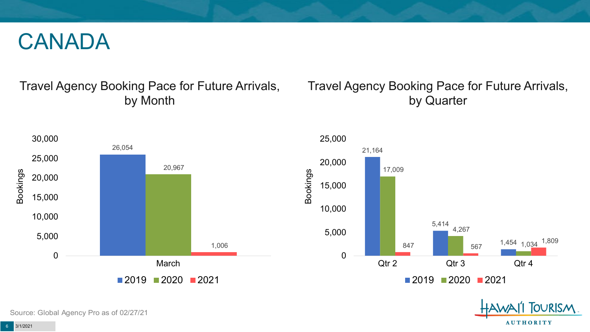## CANADA

#### Travel Agency Booking Pace for Future Arrivals, by Month

#### Travel Agency Booking Pace for Future Arrivals, by Quarter

**FOURISM** 

**AUTHORITY** 



Source: Global Agency Pro as of 02/27/21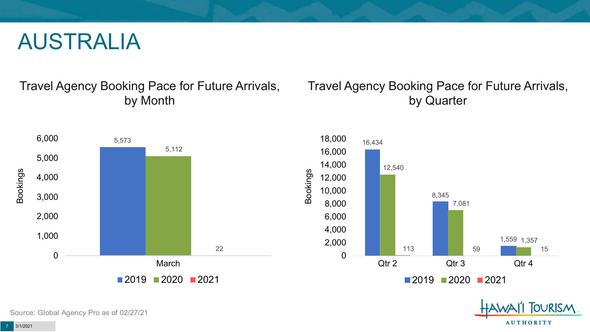## AUSTRALIA

Travel Agency Booking Pace for Future Arrivals, by Month

#### Travel Agency Booking Pace for Future Arrivals, by Quarter





Source: Global Agency Pro as of 02/27/21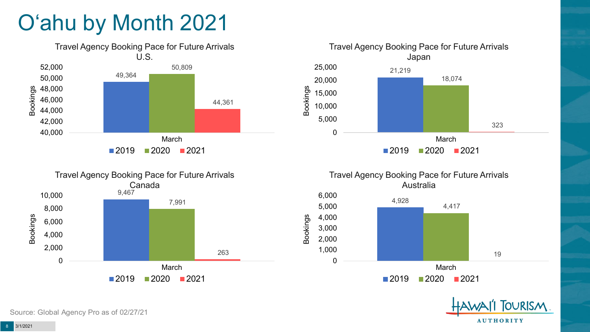# O'ahu by Month 2021









Bookings

 $2019$  2020 2021

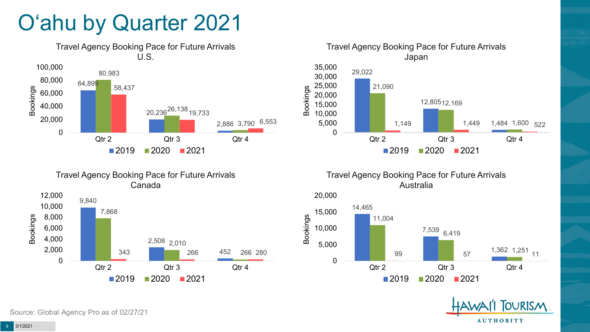# O'ahu by Quarter 2021







Travel Agency Booking Pace for Future Arrivals Australia



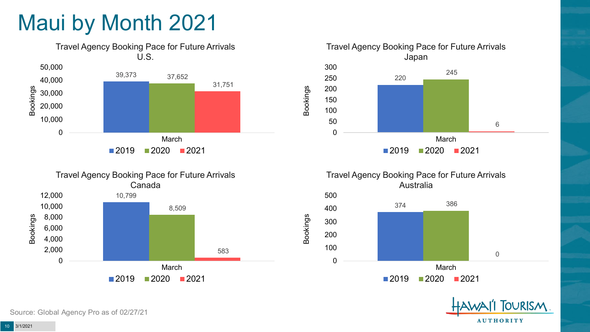# Maui by Month 2021









Bookings





Source: Global Agency Pro as of 02/27/21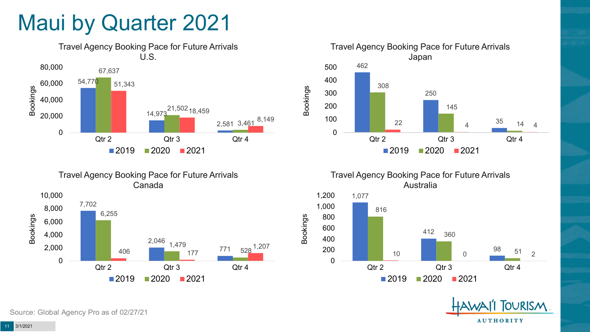## Maui by Quarter 2021







Travel Agency Booking Pace for Future Arrivals Australia



Bookings

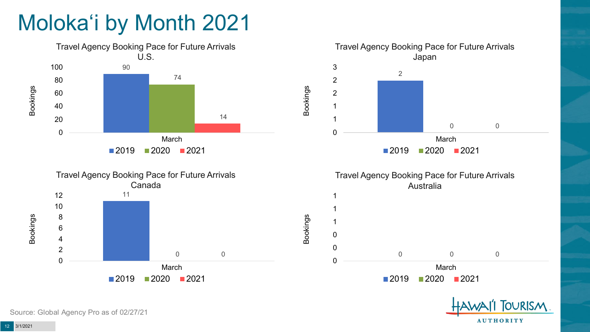# Moloka'i by Month 2021



Source: Global Agency Pro as of 02/27/21

**AUTHORITY**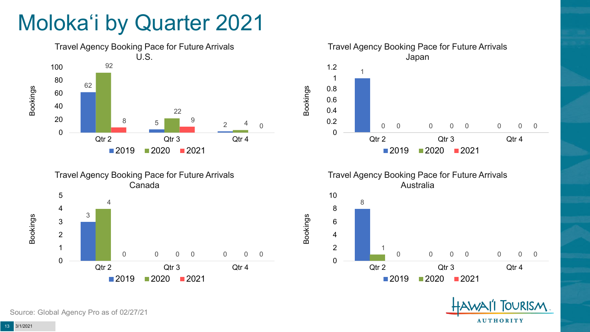# Moloka'i by Quarter 2021











Source: Global Agency Pro as of 02/27/21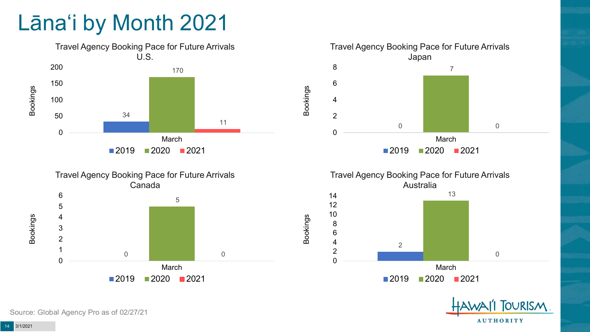# Lāna'i by Month 2021











Source: Global Agency Pro as of 02/27/21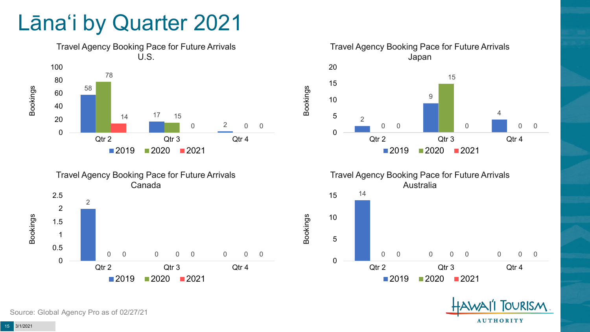## Lāna'i by Quarter 2021











Source: Global Agency Pro as of 02/27/21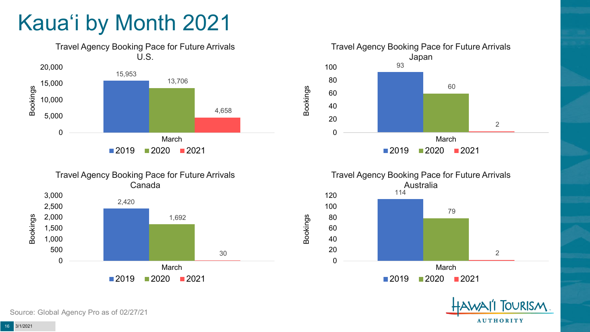# Kaua'i by Month 2021









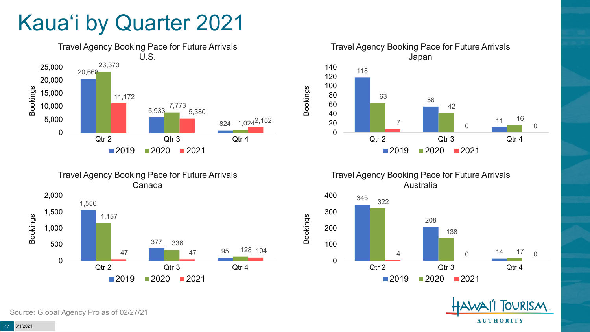# Kaua'i by Quarter 2021







Travel Agency Booking Pace for Future Arrivals Australia

Bookings



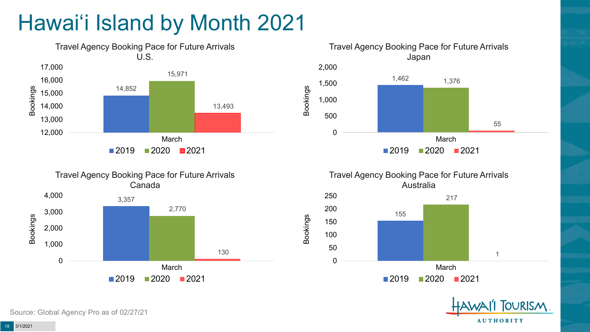# Hawai'i Island by Month 2021











Source: Global Agency Pro as of 02/27/21